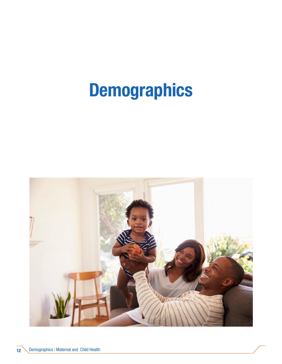## Demographics

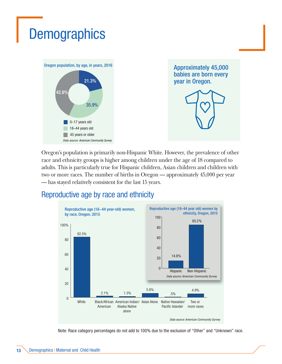## **Demographics**



Approximately 45,000 babies are born every year in Oregon.



Oregon's population is primarily non-Hispanic White. However, the prevalence of other race and ethnicity groups is higher among children under the age of 18 compared to adults. This is particularly true for Hispanic children, Asian children and children with two or more races. The number of births in Oregon — approximately 45,000 per year — has stayed relatively consistent for the last 15 years.

## Reproductive age by race and ethnicity



Note: Race category percentages do not add to 100% due to the exclusion of "Other" and "Unknown" race.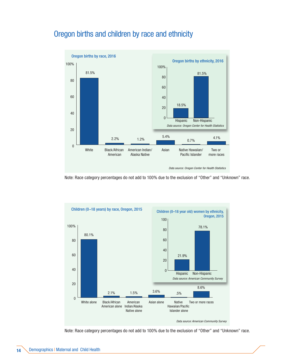



Note: Race category percentages do not add to 100% due to the exclusion of "Other" and "Unknown" race.



Note: Race category percentages do not add to 100% due to the exclusion of "Other" and "Unknown" race.